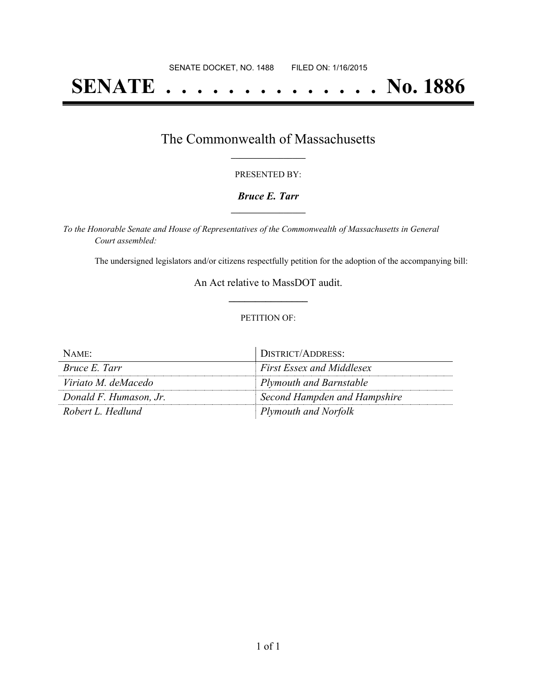# **SENATE . . . . . . . . . . . . . . No. 1886**

### The Commonwealth of Massachusetts **\_\_\_\_\_\_\_\_\_\_\_\_\_\_\_\_\_**

#### PRESENTED BY:

#### *Bruce E. Tarr* **\_\_\_\_\_\_\_\_\_\_\_\_\_\_\_\_\_**

*To the Honorable Senate and House of Representatives of the Commonwealth of Massachusetts in General Court assembled:*

The undersigned legislators and/or citizens respectfully petition for the adoption of the accompanying bill:

An Act relative to MassDOT audit. **\_\_\_\_\_\_\_\_\_\_\_\_\_\_\_**

#### PETITION OF:

| NAME:                  | DISTRICT/ADDRESS:                |
|------------------------|----------------------------------|
| Bruce E. Tarr          | <b>First Essex and Middlesex</b> |
| Viriato M. deMacedo    | Plymouth and Barnstable          |
| Donald F. Humason, Jr. | Second Hampden and Hampshire     |
| Robert L. Hedlund      | <b>Plymouth and Norfolk</b>      |